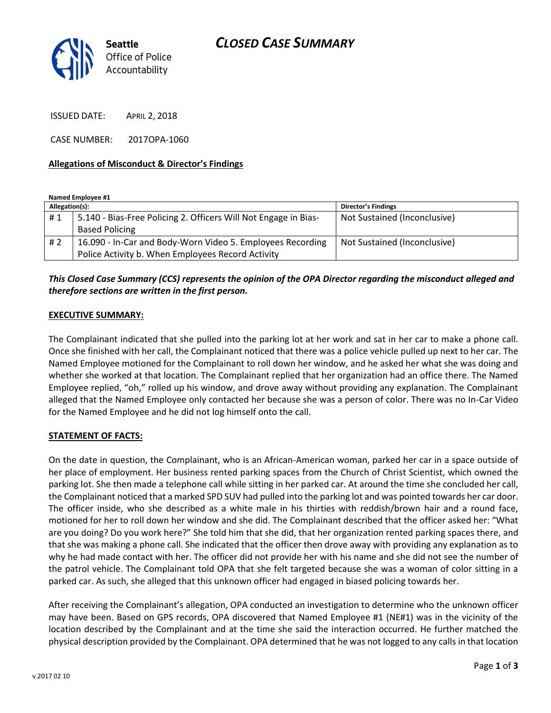

ISSUED DATE: APRIL 2, 2018

CASE NUMBER: 2017OPA-1060

#### **Allegations of Misconduct & Director's Findings**

**Named Employee #1**

| Allegation(s): |                                                                 | <b>Director's Findings</b>   |
|----------------|-----------------------------------------------------------------|------------------------------|
| #1             | 5.140 - Bias-Free Policing 2. Officers Will Not Engage in Bias- | Not Sustained (Inconclusive) |
|                | <b>Based Policing</b>                                           |                              |
| #2             | 16.090 - In-Car and Body-Worn Video 5. Employees Recording      | Not Sustained (Inconclusive) |
|                | Police Activity b. When Employees Record Activity               |                              |

# *This Closed Case Summary (CCS) represents the opinion of the OPA Director regarding the misconduct alleged and therefore sections are written in the first person.*

#### **EXECUTIVE SUMMARY:**

The Complainant indicated that she pulled into the parking lot at her work and sat in her car to make a phone call. Once she finished with her call, the Complainant noticed that there was a police vehicle pulled up next to her car. The Named Employee motioned for the Complainant to roll down her window, and he asked her what she was doing and whether she worked at that location. The Complainant replied that her organization had an office there. The Named Employee replied, "oh," rolled up his window, and drove away without providing any explanation. The Complainant alleged that the Named Employee only contacted her because she was a person of color. There was no In-Car Video for the Named Employee and he did not log himself onto the call.

### **STATEMENT OF FACTS:**

On the date in question, the Complainant, who is an African-American woman, parked her car in a space outside of her place of employment. Her business rented parking spaces from the Church of Christ Scientist, which owned the parking lot. She then made a telephone call while sitting in her parked car. At around the time she concluded her call, the Complainant noticed that a marked SPD SUV had pulled into the parking lot and was pointed towards her car door. The officer inside, who she described as a white male in his thirties with reddish/brown hair and a round face, motioned for her to roll down her window and she did. The Complainant described that the officer asked her: "What are you doing? Do you work here?" She told him that she did, that her organization rented parking spaces there, and that she was making a phone call. She indicated that the officer then drove away with providing any explanation as to why he had made contact with her. The officer did not provide her with his name and she did not see the number of the patrol vehicle. The Complainant told OPA that she felt targeted because she was a woman of color sitting in a parked car. As such, she alleged that this unknown officer had engaged in biased policing towards her.

After receiving the Complainant's allegation, OPA conducted an investigation to determine who the unknown officer may have been. Based on GPS records, OPA discovered that Named Employee #1 (NE#1) was in the vicinity of the location described by the Complainant and at the time she said the interaction occurred. He further matched the physical description provided by the Complainant. OPA determined that he was not logged to any calls in that location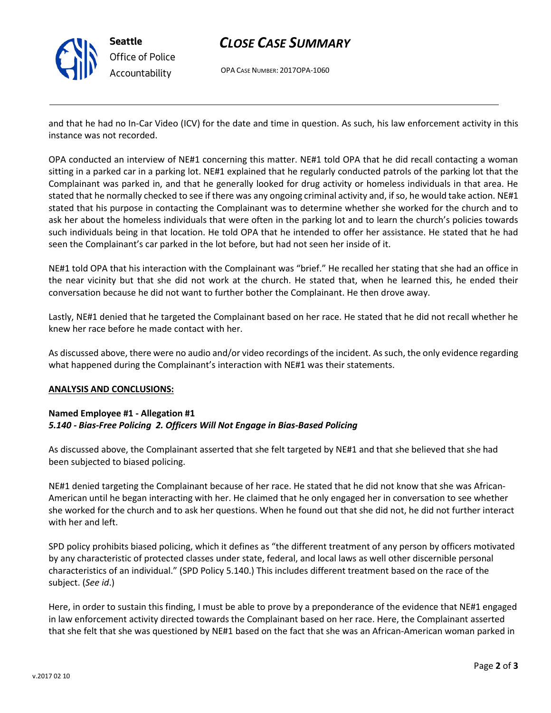

# *CLOSE CASE SUMMARY*

OPA CASE NUMBER: 2017OPA-1060

and that he had no In-Car Video (ICV) for the date and time in question. As such, his law enforcement activity in this instance was not recorded.

OPA conducted an interview of NE#1 concerning this matter. NE#1 told OPA that he did recall contacting a woman sitting in a parked car in a parking lot. NE#1 explained that he regularly conducted patrols of the parking lot that the Complainant was parked in, and that he generally looked for drug activity or homeless individuals in that area. He stated that he normally checked to see if there was any ongoing criminal activity and, if so, he would take action. NE#1 stated that his purpose in contacting the Complainant was to determine whether she worked for the church and to ask her about the homeless individuals that were often in the parking lot and to learn the church's policies towards such individuals being in that location. He told OPA that he intended to offer her assistance. He stated that he had seen the Complainant's car parked in the lot before, but had not seen her inside of it.

NE#1 told OPA that his interaction with the Complainant was "brief." He recalled her stating that she had an office in the near vicinity but that she did not work at the church. He stated that, when he learned this, he ended their conversation because he did not want to further bother the Complainant. He then drove away.

Lastly, NE#1 denied that he targeted the Complainant based on her race. He stated that he did not recall whether he knew her race before he made contact with her.

As discussed above, there were no audio and/or video recordings of the incident. As such, the only evidence regarding what happened during the Complainant's interaction with NE#1 was their statements.

### **ANALYSIS AND CONCLUSIONS:**

## **Named Employee #1 - Allegation #1** *5.140 - Bias-Free Policing 2. Officers Will Not Engage in Bias-Based Policing*

As discussed above, the Complainant asserted that she felt targeted by NE#1 and that she believed that she had been subjected to biased policing.

NE#1 denied targeting the Complainant because of her race. He stated that he did not know that she was African-American until he began interacting with her. He claimed that he only engaged her in conversation to see whether she worked for the church and to ask her questions. When he found out that she did not, he did not further interact with her and left.

SPD policy prohibits biased policing, which it defines as "the different treatment of any person by officers motivated by any characteristic of protected classes under state, federal, and local laws as well other discernible personal characteristics of an individual." (SPD Policy 5.140.) This includes different treatment based on the race of the subject. (*See id*.)

Here, in order to sustain this finding, I must be able to prove by a preponderance of the evidence that NE#1 engaged in law enforcement activity directed towards the Complainant based on her race. Here, the Complainant asserted that she felt that she was questioned by NE#1 based on the fact that she was an African-American woman parked in